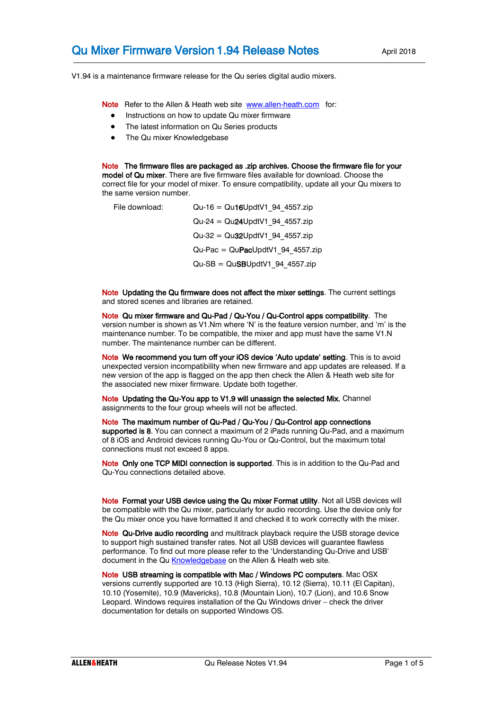V1.94 is a maintenance firmware release for the Qu series digital audio mixers.

Note Refer to the Allen & Heath web site [www.allen-heath.com](http://www.allen-heath.com/) for:

- Instructions on how to update Qu mixer firmware
- The latest information on Qu Series products
- The Qu mixer Knowledgebase

Note The firmware files are packaged as .zip archives. Choose the firmware file for your model of Qu mixer. There are five firmware files available for download. Choose the correct file for your model of mixer. To ensure compatibility, update all your Qu mixers to the same version number.

| File download: | $Qu-16 = Qu16UpdtV1$ 94 4557.zip                  |
|----------------|---------------------------------------------------|
|                | $Qu-24 = Qu24UpdtV1$ 94 4557.zip                  |
|                | $Qu-32 = Qu32UpdtV1 94 4557zip$                   |
|                | $Qu\text{-}Fac = Qu\text{-}RacUpdtV1$ 94 4557.zip |
|                | $Qu-SB = QuSBUpdtV1$ 94 4557.zip                  |

Note Updating the Qu firmware does not affect the mixer settings. The current settings and stored scenes and libraries are retained.

Note Qu mixer firmware and Qu-Pad / Qu-You / Qu-Control apps compatibility. The version number is shown as V1.Nm where 'N' is the feature version number, and 'm' is the maintenance number. To be compatible, the mixer and app must have the same V1.N number. The maintenance number can be different.

Note We recommend you turn off your iOS device 'Auto update' setting. This is to avoid unexpected version incompatibility when new firmware and app updates are released. If a new version of the app is flagged on the app then check the Allen & Heath web site for the associated new mixer firmware. Update both together.

Note Updating the Qu-You app to V1.9 will unassign the selected Mix. Channel assignments to the four group wheels will not be affected.

Note The maximum number of Qu-Pad / Qu-You / Qu-Control app connections supported is 8. You can connect a maximum of 2 iPads running Qu-Pad, and a maximum of 8 iOS and Android devices running Qu-You or Qu-Control, but the maximum total connections must not exceed 8 apps.

Note Only one TCP MIDI connection is supported. This is in addition to the Qu-Pad and Qu-You connections detailed above.

Note Format your USB device using the Qu mixer Format utility. Not all USB devices will be compatible with the Qu mixer, particularly for audio recording. Use the device only for the Qu mixer once you have formatted it and checked it to work correctly with the mixer.

Note Qu-Drive audio recording and multitrack playback require the USB storage device to support high sustained transfer rates. Not all USB devices will guarantee flawless performance. To find out more please refer to the 'Understanding Qu-Drive and USB' document in the Q[u Knowledgebase](http://allen-heath.helpserve.com/default/Knowledgebase/List) on the Allen & Heath web site.

Note USB streaming is compatible with Mac / Windows PC computers. Mac OSX versions currently supported are 10.13 (High Sierra), 10.12 (Sierra), 10.11 (El Capitan), 10.10 (Yosemite), 10.9 (Mavericks), 10.8 (Mountain Lion), 10.7 (Lion), and 10.6 Snow Leopard. Windows requires installation of the Qu Windows driver – check the driver documentation for details on supported Windows OS.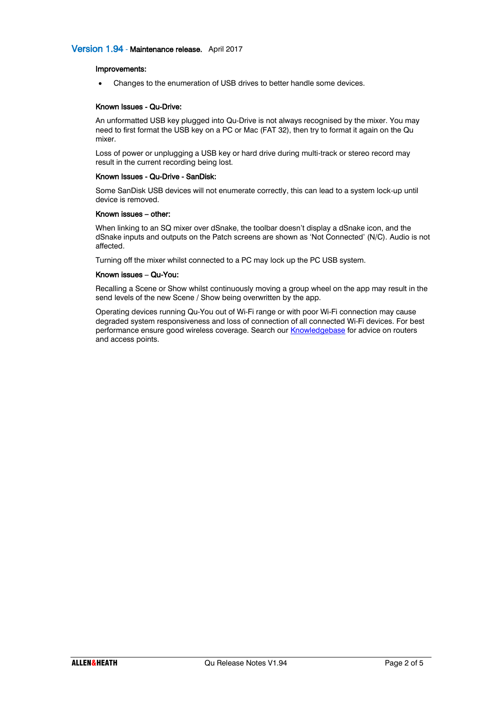## Version 1.94 - Maintenance release. April 2017

### Improvements:

• Changes to the enumeration of USB drives to better handle some devices.

#### Known Issues - Qu-Drive:

An unformatted USB key plugged into Qu-Drive is not always recognised by the mixer. You may need to first format the USB key on a PC or Mac (FAT 32), then try to format it again on the Qu mixer.

Loss of power or unplugging a USB key or hard drive during multi-track or stereo record may result in the current recording being lost.

#### Known Issues - Qu-Drive - SanDisk:

Some SanDisk USB devices will not enumerate correctly, this can lead to a system lock-up until device is removed.

#### Known issues – other:

When linking to an SQ mixer over dSnake, the toolbar doesn't display a dSnake icon, and the dSnake inputs and outputs on the Patch screens are shown as 'Not Connected' (N/C). Audio is not affected.

Turning off the mixer whilst connected to a PC may lock up the PC USB system.

#### Known issues – Qu-You:

Recalling a Scene or Show whilst continuously moving a group wheel on the app may result in the send levels of the new Scene / Show being overwritten by the app.

Operating devices running Qu-You out of Wi-Fi range or with poor Wi-Fi connection may cause degraded system responsiveness and loss of connection of all connected Wi-Fi devices. For best performance ensure good wireless coverage. Search our **Knowledgebase** for advice on routers and access points.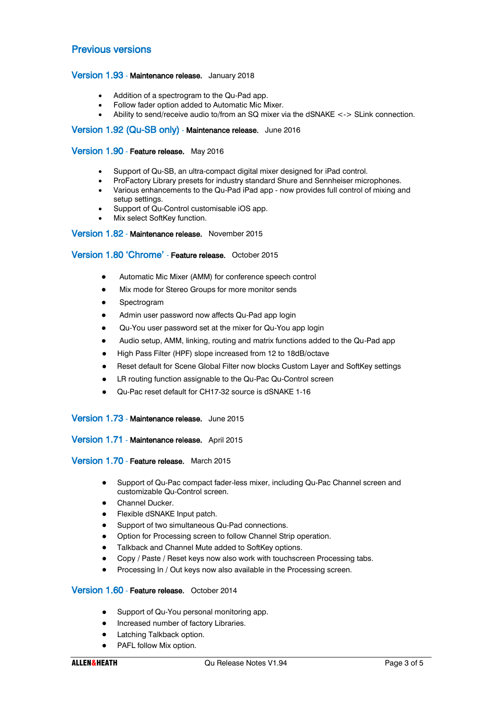# Previous versions

# Version 1.93 - Maintenance release. January 2018

- Addition of a spectrogram to the Qu-Pad app.
- Follow fader option added to Automatic Mic Mixer.
- Ability to send/receive audio to/from an SQ mixer via the dSNAKE <-> SLink connection.

### Version 1.92 (Qu-SB only) - Maintenance release. June 2016

### Version 1.90 - Feature release. May 2016

- Support of Qu-SB, an ultra-compact digital mixer designed for iPad control.
- ProFactory Library presets for industry standard Shure and Sennheiser microphones.
- Various enhancements to the Qu-Pad iPad app now provides full control of mixing and setup settings.
- Support of Qu-Control customisable iOS app.
- Mix select SoftKey function.

### Version 1.82 - Maintenance release. November 2015

# Version 1.80 'Chrome' - Feature release. October 2015

- Automatic Mic Mixer (AMM) for conference speech control
- Mix mode for Stereo Groups for more monitor sends
- Spectrogram
- Admin user password now affects Qu-Pad app login
- Qu-You user password set at the mixer for Qu-You app login
- Audio setup, AMM, linking, routing and matrix functions added to the Qu-Pad app
- High Pass Filter (HPF) slope increased from 12 to 18dB/octave
- Reset default for Scene Global Filter now blocks Custom Layer and SoftKey settings
- LR routing function assignable to the Qu-Pac Qu-Control screen
- Qu-Pac reset default for CH17-32 source is dSNAKE 1-16

#### Version 1.73 - Maintenance release. June 2015

Version 1.71 - Maintenance release. April 2015

### Version 1.70 - Feature release. March 2015

- Support of Qu-Pac compact fader-less mixer, including Qu-Pac Channel screen and customizable Qu-Control screen.
- Channel Ducker.
- Flexible dSNAKE Input patch.
- Support of two simultaneous Qu-Pad connections.
- Option for Processing screen to follow Channel Strip operation.
- Talkback and Channel Mute added to SoftKey options.
- Copy / Paste / Reset keys now also work with touchscreen Processing tabs.
- Processing In / Out keys now also available in the Processing screen.

# Version 1.60 - Feature release. October 2014

- Support of Qu-You personal monitoring app.
- Increased number of factory Libraries.
- Latching Talkback option.
- PAFL follow Mix option.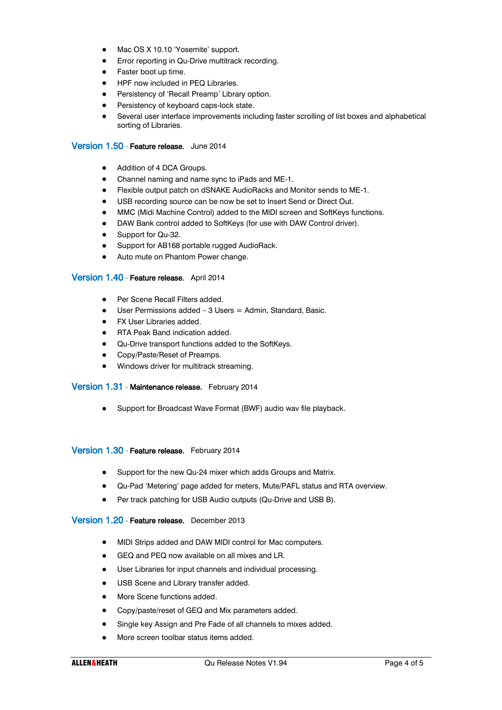- Mac OS X 10.10 'Yosemite' support.
- Error reporting in Qu-Drive multitrack recording.
- Faster boot up time.
- HPF now included in PEQ Libraries.
- Persistency of 'Recall Preamp' Library option.
- **•** Persistency of keyboard caps-lock state.
- Several user interface improvements including faster scrolling of list boxes and alphabetical sorting of Libraries.

# Version 1.50 - Feature release. June 2014

- Addition of 4 DCA Groups.
- Channel naming and name sync to iPads and ME-1.
- Flexible output patch on dSNAKE AudioRacks and Monitor sends to ME-1.
- USB recording source can be now be set to Insert Send or Direct Out.
- MMC (Midi Machine Control) added to the MIDI screen and SoftKeys functions.
- DAW Bank control added to SoftKeys (for use with DAW Control driver).
- Support for Qu-32.
- Support for AB168 portable rugged AudioRack.
- Auto mute on Phantom Power change.

# Version 1.40 - Feature release. April 2014

- Per Scene Recall Filters added.
- User Permissions added 3 Users = Admin, Standard, Basic.
- FX User Libraries added.
- RTA Peak Band indication added.
- Qu-Drive transport functions added to the SoftKeys.
- Copy/Paste/Reset of Preamps.
- Windows driver for multitrack streaming.

### Version 1.31 - Maintenance release. February 2014

• Support for Broadcast Wave Format (BWF) audio wav file playback.

### Version 1.30 - Feature release. February 2014

- Support for the new Qu-24 mixer which adds Groups and Matrix.
- Qu-Pad 'Metering' page added for meters, Mute/PAFL status and RTA overview.
- Per track patching for USB Audio outputs (Qu-Drive and USB B).

## Version 1.20 - Feature release. December 2013

- MIDI Strips added and DAW MIDI control for Mac computers.
- GEQ and PEQ now available on all mixes and LR.
- User Libraries for input channels and individual processing.
- USB Scene and Library transfer added.
- More Scene functions added.
- Copy/paste/reset of GEQ and Mix parameters added.
- Single key Assign and Pre Fade of all channels to mixes added.
- More screen toolbar status items added.